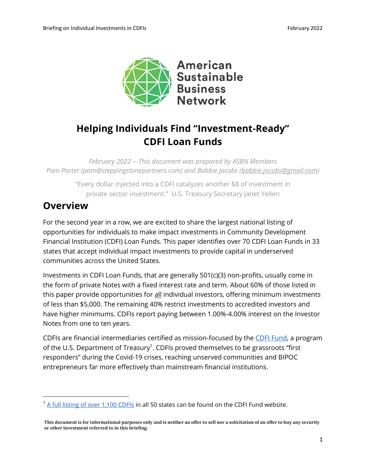

# **Helping Individuals Find "Investment-Ready" CDFI Loan Funds**

*February 2022 -- This document was prepared by ASBN Members Pam Porter (pam@steppingstonepartners.com) and Babbie Jacobs [\(babbie.jacobs@gmail.com\)](mailto:babbie.jacobs@gmail.com)*

> "Every dollar injected into a CDFI catalyzes another \$8 of investment in private sector investment." U.S. Treasury Secretary Janet Yellen

## **Overview**

For the second year in a row, we are excited to share the largest national listing of opportunities for individuals to make impact investments in Community Development Financial Institution (CDFI) Loan Funds. This paper identifies over 70 CDFI Loan Funds in 33 states that accept individual impact investments to provide capital in underserved communities across the United States.

Investments in CDFI Loan Funds, that are generally 501(c)(3) non-profits, usually come in the form of private Notes with a fixed interest rate and term. About 60% of those listed in this paper provide opportunities for all individual investors, offering minimum investments of less than \$5,000. The remaining 40% restrict investments to accredited investors and have higher minimums. CDFIs report paying between 1.00%-4.00% interest on the Investor Notes from one to ten years.

CDFIs are financial intermediaries certified as mission-focused by the [CDFI Fund,](https://www.cdfifund.gov/) a program of the U.S. Department of Treasury<sup>1</sup>. CDFIs proved themselves to be grassroots "first responders" during the Covid-19 crises, reaching unserved communities and BIPOC entrepreneurs far more effectively than mainstream financial institutions.

 $<sup>1</sup>$  [A full listing of over 1,100 CDFIs](https://www.cdfifund.gov/Documents/CDFI%20Cert%20List%2012-16-2020%20Final.xlsx) in all 50 states can be found on the CDFI Fund website.</sup>

**This document is for informational purposes only and is neither an offer to sell nor a solicitation of an offer to buy any security or other investment referred to in this briefing.**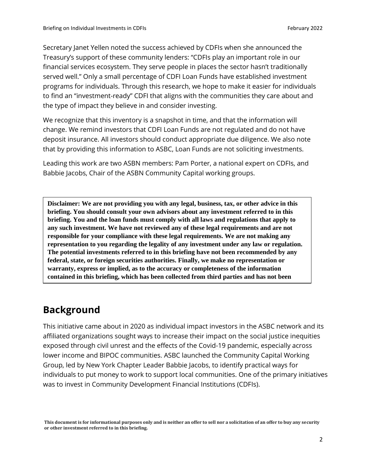Secretary Janet Yellen noted the success achieved by CDFIs when she announced the Treasury's support of these community lenders: "CDFIs play an important role in our financial services ecosystem. They serve people in places the sector hasn't traditionally served well." Only a small percentage of CDFI Loan Funds have established investment programs for individuals. Through this research, we hope to make it easier for individuals to find an "investment-ready" CDFI that aligns with the communities they care about and the type of impact they believe in and consider investing.

We recognize that this inventory is a snapshot in time, and that the information will change. We remind investors that CDFI Loan Funds are not regulated and do not have deposit insurance. All investors should conduct appropriate due diligence. We also note that by providing this information to ASBC, Loan Funds are not soliciting investments.

Leading this work are two ASBN members: Pam Porter, a national expert on CDFIs, and Babbie Jacobs, Chair of the ASBN Community Capital working groups.

**Disclaimer: We are not providing you with any legal, business, tax, or other advice in this briefing. You should consult your own advisors about any investment referred to in this briefing. You and the loan funds must comply with all laws and regulations that apply to any such investment. We have not reviewed any of these legal requirements and are not responsible for your compliance with these legal requirements. We are not making any representation to you regarding the legality of any investment under any law or regulation. The potential investments referred to in this briefing have not been recommended by any federal, state, or foreign securities authorities. Finally, we make no representation or warranty, express or implied, as to the accuracy or completeness of the information contained in this briefing, which has been collected from third parties and has not been** 

### **Background**

**independently verified by us.** 

This initiative came about in 2020 as individual impact investors in the ASBC network and its affiliated organizations sought ways to increase their impact on the social justice inequities exposed through civil unrest and the effects of the Covid-19 pandemic, especially across lower income and BIPOC communities. ASBC launched the Community Capital Working Group, led by New York Chapter Leader Babbie Jacobs, to identify practical ways for individuals to put money to work to support local communities. One of the primary initiatives was to invest in Community Development Financial Institutions (CDFIs).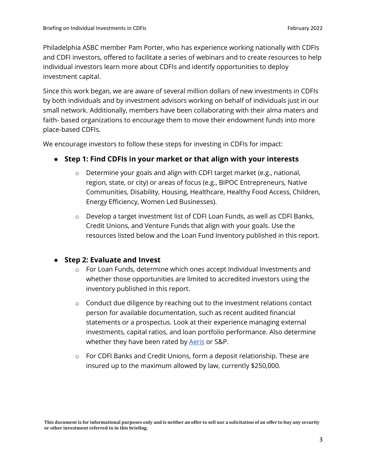Philadelphia ASBC member Pam Porter, who has experience working nationally with CDFIs and CDFI investors, offered to facilitate a series of webinars and to create resources to help individual investors learn more about CDFIs and identify opportunities to deploy investment capital.

Since this work began, we are aware of several million dollars of new investments in CDFIs by both individuals and by investment advisors working on behalf of individuals just in our small network. Additionally, members have been collaborating with their alma maters and faith- based organizations to encourage them to move their endowment funds into more place-based CDFIs.

We encourage investors to follow these steps for investing in CDFIs for impact:

#### ● **Step 1: Find CDFIs in your market or that align with your interests**

- o Determine your goals and align with CDFI target market (e.g., national, region, state, or city) or areas of focus (e.g., BIPOC Entrepreneurs, Native Communities, Disability, Housing, Healthcare, Healthy Food Access, Children, Energy Efficiency, Women Led Businesses).
- o Develop a target investment list of CDFI Loan Funds, as well as CDFI Banks, Credit Unions, and Venture Funds that align with your goals. Use the resources listed below and the Loan Fund Inventory published in this report.

#### ● **Step 2: Evaluate and Invest**

- $\circ$  For Loan Funds, determine which ones accept Individual Investments and whether those opportunities are limited to accredited investors using the inventory published in this report.
- o Conduct due diligence by reaching out to the investment relations contact person for available documentation, such as recent audited financial statements or a prospectus. Look at their experience managing external investments, capital ratios, and loan portfolio performance. Also determine whether they have been rated by **Aeris** or S&P.
- o For CDFI Banks and Credit Unions, form a deposit relationship. These are insured up to the maximum allowed by law, currently \$250,000.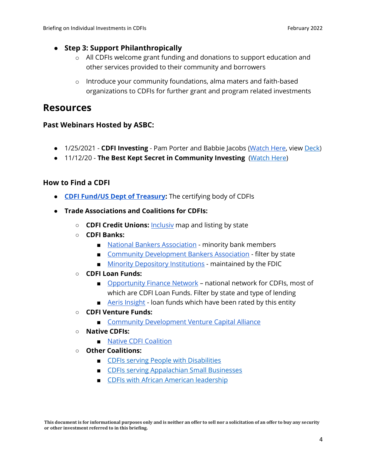#### ● **Step 3: Support Philanthropically**

- o All CDFIs welcome grant funding and donations to support education and other services provided to their community and borrowers
- o Introduce your community foundations, alma maters and faith-based organizations to CDFIs for further grant and program related investments

### **Resources**

#### **Past Webinars Hosted by ASBC:**

- 1/25/2021 **CDFI Investing** Pam Porter and Babbie Jacobs [\(Watch Here,](https://svcimpact.us10.list-manage.com/track/click?u=06fdfd96474454b27ccfa3f2b&id=1c88e233cb&e=77c1034d66) view [Deck\)](https://svcimpact.us10.list-manage.com/track/click?u=06fdfd96474454b27ccfa3f2b&id=4d217378dd&e=77c1034d66)
- 11/12/20 **The Best Kept Secret in Community Investing** [\(Watch Here\)](https://vimeo.com/478644746)

#### **How to Find a CDFI**

- **[CDFI Fund/US Dept of Treasury:](https://svcimpact.us10.list-manage.com/track/click?u=06fdfd96474454b27ccfa3f2b&id=1635136e4b&e=77c1034d66)** The certifying body of CDFIs
- **Trade Associations and Coalitions for CDFIs:**
	- **CDFI Credit Unions:** [Inclusiv](https://svcimpact.us10.list-manage.com/track/click?u=06fdfd96474454b27ccfa3f2b&id=9375ab0e90&e=77c1034d66) map and listing by state
	- **CDFI Banks:**
		- [National Bankers Association](https://svcimpact.us10.list-manage.com/track/click?u=06fdfd96474454b27ccfa3f2b&id=b29d60d693&e=77c1034d66) minority bank members
		- [Community Development Bankers Association](https://svcimpact.us10.list-manage.com/track/click?u=06fdfd96474454b27ccfa3f2b&id=e8be5a4850&e=77c1034d66) filter by state
		- [Minority Depository Institutions](https://svcimpact.us10.list-manage.com/track/click?u=06fdfd96474454b27ccfa3f2b&id=92e404980e&e=77c1034d66) maintained by the FDIC
	- **CDFI Loan Funds:**
		- [Opportunity Finance Network](https://svcimpact.us10.list-manage.com/track/click?u=06fdfd96474454b27ccfa3f2b&id=520955e0a6&e=77c1034d66) national network for CDFIs, most of which are CDFI Loan Funds. Filter by state and type of lending
		- [Aeris Insight](https://svcimpact.us10.list-manage.com/track/click?u=06fdfd96474454b27ccfa3f2b&id=7870f38266&e=77c1034d66) Ioan funds which have been rated by this entity
	- **CDFI Venture Funds:**
		- [Community Development Venture](https://svcimpact.us10.list-manage.com/track/click?u=06fdfd96474454b27ccfa3f2b&id=814bdfb8f5&e=77c1034d66) [Capital Alliance](https://svcimpact.us10.list-manage.com/track/click?u=06fdfd96474454b27ccfa3f2b&id=78cd0c4cb5&e=77c1034d66)
	- **Native CDFIs:**
		- [Native CDFI Coalition](https://svcimpact.us10.list-manage.com/track/click?u=06fdfd96474454b27ccfa3f2b&id=7422948491&e=77c1034d66)
	- **Other Coalitions:**
		- [CDFIs serving People with Disabilities](http://www.disability-finance.org/)
		- [CDFIs serving Appalachian Small Businesses](https://appalachiancommunitycapitalcdfi.org/)
		- [CDFIs with African American](https://aaacdfi.org/home) leadership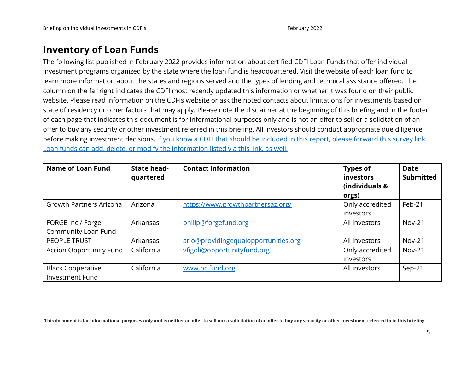### **Inventory of Loan Funds**

The following list published in February 2022 provides information about certified CDFI Loan Funds that offer individual investment programs organized by the state where the loan fund is headquartered. Visit the website of each loan fund to learn more information about the states and regions served and the types of lending and technical assistance offered. The column on the far right indicates the CDFI most recently updated this information or whether it was found on their public website. Please read information on the CDFIs website or ask the noted contacts about limitations for investments based on state of residency or other factors that may apply. Please note the disclaimer at the beginning of this briefing and in the footer of each page that indicates this document is for informational purposes only and is not an offer to sell or a solicitation of an offer to buy any security or other investment referred in this briefing. All investors should conduct appropriate due diligence before making investment decisions. If you know a CDFI that should be included in this report, please forward this survey link. [Loan funds can add, delete, or modify the information listed via this link, as well.](https://docs.google.com/forms/d/1frrRlpiicBTT_aKl8kQ2CjU_Rd-O2j1Lt6SYYInGQs4/edit)

| Name of Loan Fund                                  | <b>State head-</b><br>quartered | <b>Contact information</b>           | <b>Types of</b><br>investors<br>(individuals &<br>orgs) | <b>Date</b><br><b>Submitted</b> |
|----------------------------------------------------|---------------------------------|--------------------------------------|---------------------------------------------------------|---------------------------------|
| <b>Growth Partners Arizona</b>                     | Arizona                         | https://www.growthpartnersaz.org/    | Only accredited<br>investors                            | Feb-21                          |
| FORGE Inc./ Forge<br>Community Loan Fund           | Arkansas                        | philip@forgefund.org                 | All investors                                           | $Nov-21$                        |
| PEOPLE TRUST                                       | Arkansas                        | arlo@providingequalopportunities.org | All investors                                           | <b>Nov-21</b>                   |
| <b>Accion Opportunity Fund</b>                     | California                      | vfigoli@opportunityfund.org          | Only accredited<br>investors                            | $Nov-21$                        |
| <b>Black Cooperative</b><br><b>Investment Fund</b> | California                      | www.bcifund.org                      | All investors                                           | Sep-21                          |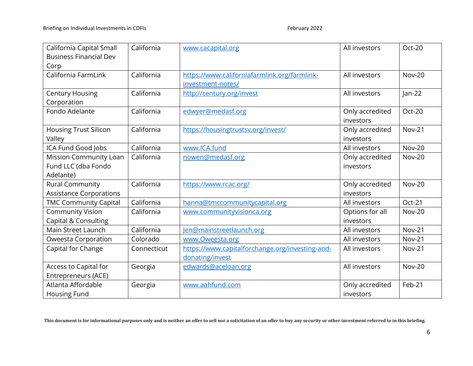| California Capital Small       | California  | www.cacapital.org                               | All investors   | Oct-20        |
|--------------------------------|-------------|-------------------------------------------------|-----------------|---------------|
| <b>Business Financial Dev</b>  |             |                                                 |                 |               |
| Corp                           |             |                                                 |                 |               |
| California FarmLink            | California  | https://www.californiafarmlink.org/farmlink-    | All investors   | <b>Nov-20</b> |
|                                |             | investment-notes/                               |                 |               |
| <b>Century Housing</b>         | California  | http://century.org/invest                       | All investors   | $jan-22$      |
| Corporation                    |             |                                                 |                 |               |
| Fondo Adelante                 | California  | edwyer@medasf.org                               | Only accredited | Oct-20        |
|                                |             |                                                 | investors       |               |
| Housing Trust Silicon          | California  | https://housingtrustsv.org/invest/              | Only accredited | <b>Nov-21</b> |
| Valley                         |             |                                                 | investors       |               |
| ICA Fund Good Jobs             | California  | www.ICA.fund                                    | All investors   | <b>Nov-20</b> |
| Mission Community Loan         | California  | nowen@medasf.org                                | Only accredited | <b>Nov-20</b> |
| Fund LLC (dba Fondo            |             |                                                 | investors       |               |
| Adelante)                      |             |                                                 |                 |               |
| <b>Rural Community</b>         | California  | https://www.rcac.org/                           | Only accredited | <b>Nov-20</b> |
| <b>Assistance Corporations</b> |             |                                                 | investors       |               |
| <b>TMC Community Capital</b>   | California  | hanna@tmccommunitycapital.org                   | All investors   | Oct-21        |
| <b>Community Vision</b>        | California  | www.communityvisionca.org                       | Options for all | <b>Nov-20</b> |
| Capital & Consulting           |             |                                                 | investors       |               |
| Main Street Launch             | California  | Jen@mainstreetlaunch.org                        | All investors   | <b>Nov-21</b> |
| <b>Oweesta Corporation</b>     | Colorado    | www.Oweesta.org                                 | All investors   | <b>Nov-21</b> |
| Capital for Change             | Connecticut | https://www.capitalforchange.org/investing-and- | All investors   | <b>Nov-21</b> |
|                                |             | donating/invest                                 |                 |               |
| Access to Capital for          | Georgia     | edwards@aceloan.org                             | All investors   | <b>Nov-20</b> |
| Entrepreneurs (ACE)            |             |                                                 |                 |               |
| Atlanta Affordable             | Georgia     | www.aahfund.com                                 | Only accredited | Feb-21        |
| Housing Fund                   |             |                                                 | investors       |               |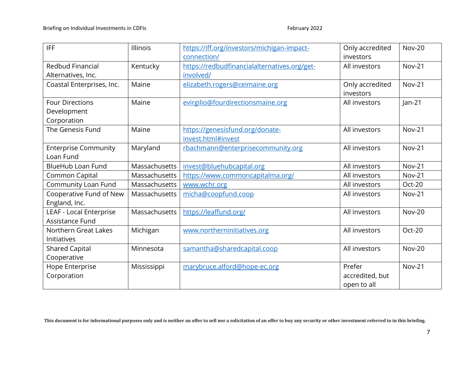| <b>IFF</b>                     | <b>Illinois</b>      | https://iff.org/investors/michigan-impact-<br>connection/ | Only accredited<br>investors | <b>Nov-20</b> |
|--------------------------------|----------------------|-----------------------------------------------------------|------------------------------|---------------|
| <b>Redbud Financial</b>        | Kentucky             | https://redbudfinancialalternatives.org/get-              | All investors                | <b>Nov-21</b> |
| Alternatives, Inc.             |                      | involved/                                                 |                              |               |
| Coastal Enterprises, Inc.      | Maine                | elizabeth.rogers@ceimaine.org                             | Only accredited<br>investors | <b>Nov-21</b> |
| <b>Four Directions</b>         | Maine                | evirgilio@fourdirectionsmaine.org                         | All investors                | $ an-21 $     |
| Development                    |                      |                                                           |                              |               |
| Corporation                    |                      |                                                           |                              |               |
| The Genesis Fund               | Maine                | https://genesisfund.org/donate-                           | All investors                | <b>Nov-21</b> |
|                                |                      | invest.html#invest                                        |                              |               |
| <b>Enterprise Community</b>    | Maryland             | rbachmann@enterprisecommunity.org                         | All investors                | <b>Nov-21</b> |
| Loan Fund                      |                      |                                                           |                              |               |
| <b>BlueHub Loan Fund</b>       | <b>Massachusetts</b> | invest@bluehubcapital.org                                 | All investors                | <b>Nov-21</b> |
| Common Capital                 | Massachusetts        | https://www.commoncapitalma.org/                          | All investors                | <b>Nov-21</b> |
| Community Loan Fund            | Massachusetts        | www.wchr.org                                              | All investors                | Oct-20        |
| Cooperative Fund of New        | Massachusetts        | micha@coopfund.coop                                       | All investors                | <b>Nov-21</b> |
| England, Inc.                  |                      |                                                           |                              |               |
| <b>LEAF - Local Enterprise</b> | Massachusetts        | https://leaffund.org/                                     | All investors                | <b>Nov-20</b> |
| Assistance Fund                |                      |                                                           |                              |               |
| Northern Great Lakes           | Michigan             | www.northerninitiatives.org                               | All investors                | Oct-20        |
| Initiatives                    |                      |                                                           |                              |               |
| <b>Shared Capital</b>          | Minnesota            | samantha@sharedcapital.coop                               | All investors                | <b>Nov-20</b> |
| Cooperative                    |                      |                                                           |                              |               |
| Hope Enterprise                | Mississippi          | marybruce.alford@hope-ec.org                              | Prefer                       | <b>Nov-21</b> |
| Corporation                    |                      |                                                           | accredited, but              |               |
|                                |                      |                                                           | open to all                  |               |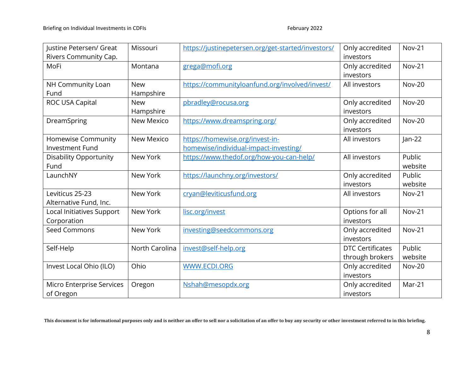| Justine Petersen/ Great       | Missouri          | https://justinepetersen.org/get-started/investors/ | Only accredited         | <b>Nov-21</b> |
|-------------------------------|-------------------|----------------------------------------------------|-------------------------|---------------|
| Rivers Community Cap.         |                   |                                                    | investors               |               |
| MoFi                          | Montana           | grega@mofi.org                                     | Only accredited         | <b>Nov-21</b> |
|                               |                   |                                                    | investors               |               |
| NH Community Loan             | <b>New</b>        | https://communityloanfund.org/involved/invest/     | All investors           | <b>Nov-20</b> |
| Fund                          | Hampshire         |                                                    |                         |               |
| ROC USA Capital               | <b>New</b>        | pbradley@rocusa.org                                | Only accredited         | <b>Nov-20</b> |
|                               | Hampshire         |                                                    | investors               |               |
| DreamSpring                   | New Mexico        | https://www.dreamspring.org/                       | Only accredited         | <b>Nov-20</b> |
|                               |                   |                                                    | investors               |               |
| Homewise Community            | <b>New Mexico</b> | https://homewise.org/invest-in-                    | All investors           | $jan-22$      |
| <b>Investment Fund</b>        |                   | homewise/individual-impact-investing/              |                         |               |
| <b>Disability Opportunity</b> | New York          | https://www.thedof.org/how-you-can-help/           | All investors           | Public        |
| Fund                          |                   |                                                    |                         | website       |
| LaunchNY                      | New York          | https://launchny.org/investors/                    | Only accredited         | Public        |
|                               |                   |                                                    | investors               | website       |
| Leviticus 25-23               | New York          | cryan@leviticusfund.org                            | All investors           | <b>Nov-21</b> |
| Alternative Fund, Inc.        |                   |                                                    |                         |               |
| Local Initiatives Support     | New York          | lisc.org/invest                                    | Options for all         | <b>Nov-21</b> |
| Corporation                   |                   |                                                    | investors               |               |
| Seed Commons                  | New York          | investing@seedcommons.org                          | Only accredited         | <b>Nov-21</b> |
|                               |                   |                                                    | investors               |               |
| Self-Help                     | North Carolina    | invest@self-help.org                               | <b>DTC Certificates</b> | Public        |
|                               |                   |                                                    | through brokers         | website       |
| Invest Local Ohio (ILO)       | Ohio              | WWW.ECDI.ORG                                       | Only accredited         | <b>Nov-20</b> |
|                               |                   |                                                    | investors               |               |
| Micro Enterprise Services     | Oregon            | Nshah@mesopdx.org                                  | Only accredited         | Mar-21        |
| of Oregon                     |                   |                                                    | investors               |               |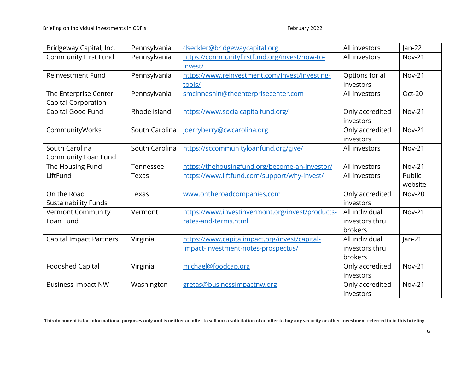| Bridgeway Capital, Inc.        | Pennsylvania   | dseckler@bridgewaycapital.org                    | All investors   | $jan-22$      |
|--------------------------------|----------------|--------------------------------------------------|-----------------|---------------|
| <b>Community First Fund</b>    | Pennsylvania   | https://communityfirstfund.org/invest/how-to-    | All investors   | <b>Nov-21</b> |
|                                |                | invest/                                          |                 |               |
| <b>Reinvestment Fund</b>       | Pennsylvania   | https://www.reinvestment.com/invest/investing-   | Options for all | <b>Nov-21</b> |
|                                |                | tools/                                           | investors       |               |
| The Enterprise Center          | Pennsylvania   | smcinneshin@theenterprisecenter.com              | All investors   | Oct-20        |
| Capital Corporation            |                |                                                  |                 |               |
| Capital Good Fund              | Rhode Island   | https://www.socialcapitalfund.org/               | Only accredited | <b>Nov-21</b> |
|                                |                |                                                  | investors       |               |
| CommunityWorks                 | South Carolina | jderryberry@cwcarolina.org                       | Only accredited | <b>Nov-21</b> |
|                                |                |                                                  | investors       |               |
| South Carolina                 | South Carolina | https://sccommunityloanfund.org/give/            | All investors   | <b>Nov-21</b> |
| Community Loan Fund            |                |                                                  |                 |               |
| The Housing Fund               | Tennessee      | https://thehousingfund.org/become-an-investor/   | All investors   | <b>Nov-21</b> |
| LiftFund                       | Texas          | https://www.liftfund.com/support/why-invest/     | All investors   | Public        |
|                                |                |                                                  |                 | website       |
| On the Road                    | Texas          | www.ontheroadcompanies.com                       | Only accredited | <b>Nov-20</b> |
| <b>Sustainability Funds</b>    |                |                                                  | investors       |               |
| <b>Vermont Community</b>       | Vermont        | https://www.investinvermont.org/invest/products- | All individual  | <b>Nov-21</b> |
| Loan Fund                      |                | rates-and-terms.html                             | investors thru  |               |
|                                |                |                                                  | brokers         |               |
| <b>Capital Impact Partners</b> | Virginia       | https://www.capitalimpact.org/invest/capital-    | All individual  | $ an-21$      |
|                                |                | impact-investment-notes-prospectus/              | investors thru  |               |
|                                |                |                                                  | brokers         |               |
| <b>Foodshed Capital</b>        | Virginia       | michael@foodcap.org                              | Only accredited | <b>Nov-21</b> |
|                                |                |                                                  | investors       |               |
| <b>Business Impact NW</b>      | Washington     | gretas@businessimpactnw.org                      | Only accredited | <b>Nov-21</b> |
|                                |                |                                                  | investors       |               |